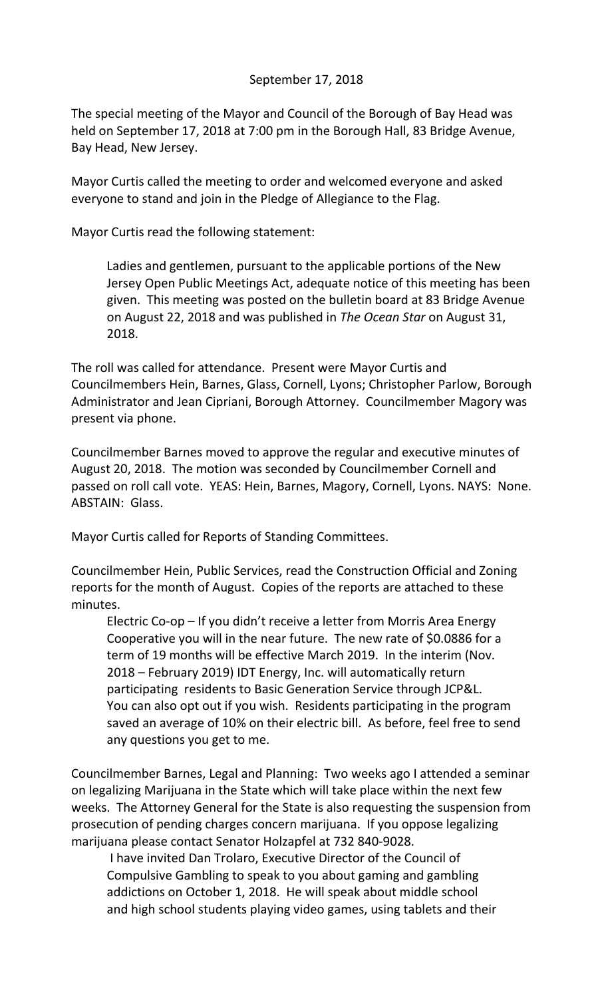## September 17, 2018

The special meeting of the Mayor and Council of the Borough of Bay Head was held on September 17, 2018 at 7:00 pm in the Borough Hall, 83 Bridge Avenue, Bay Head, New Jersey.

Mayor Curtis called the meeting to order and welcomed everyone and asked everyone to stand and join in the Pledge of Allegiance to the Flag.

Mayor Curtis read the following statement:

Ladies and gentlemen, pursuant to the applicable portions of the New Jersey Open Public Meetings Act, adequate notice of this meeting has been given. This meeting was posted on the bulletin board at 83 Bridge Avenue on August 22, 2018 and was published in *The Ocean Star* on August 31, 2018.

The roll was called for attendance. Present were Mayor Curtis and Councilmembers Hein, Barnes, Glass, Cornell, Lyons; Christopher Parlow, Borough Administrator and Jean Cipriani, Borough Attorney. Councilmember Magory was present via phone.

Councilmember Barnes moved to approve the regular and executive minutes of August 20, 2018. The motion was seconded by Councilmember Cornell and passed on roll call vote. YEAS: Hein, Barnes, Magory, Cornell, Lyons. NAYS: None. ABSTAIN: Glass.

Mayor Curtis called for Reports of Standing Committees.

Councilmember Hein, Public Services, read the Construction Official and Zoning reports for the month of August. Copies of the reports are attached to these minutes.

Electric Co-op – If you didn't receive a letter from Morris Area Energy Cooperative you will in the near future. The new rate of \$0.0886 for a term of 19 months will be effective March 2019. In the interim (Nov. 2018 – February 2019) IDT Energy, Inc. will automatically return participating residents to Basic Generation Service through JCP&L. You can also opt out if you wish. Residents participating in the program saved an average of 10% on their electric bill. As before, feel free to send any questions you get to me.

Councilmember Barnes, Legal and Planning: Two weeks ago I attended a seminar on legalizing Marijuana in the State which will take place within the next few weeks. The Attorney General for the State is also requesting the suspension from prosecution of pending charges concern marijuana. If you oppose legalizing marijuana please contact Senator Holzapfel at 732 840-9028.

I have invited Dan Trolaro, Executive Director of the Council of Compulsive Gambling to speak to you about gaming and gambling addictions on October 1, 2018. He will speak about middle school and high school students playing video games, using tablets and their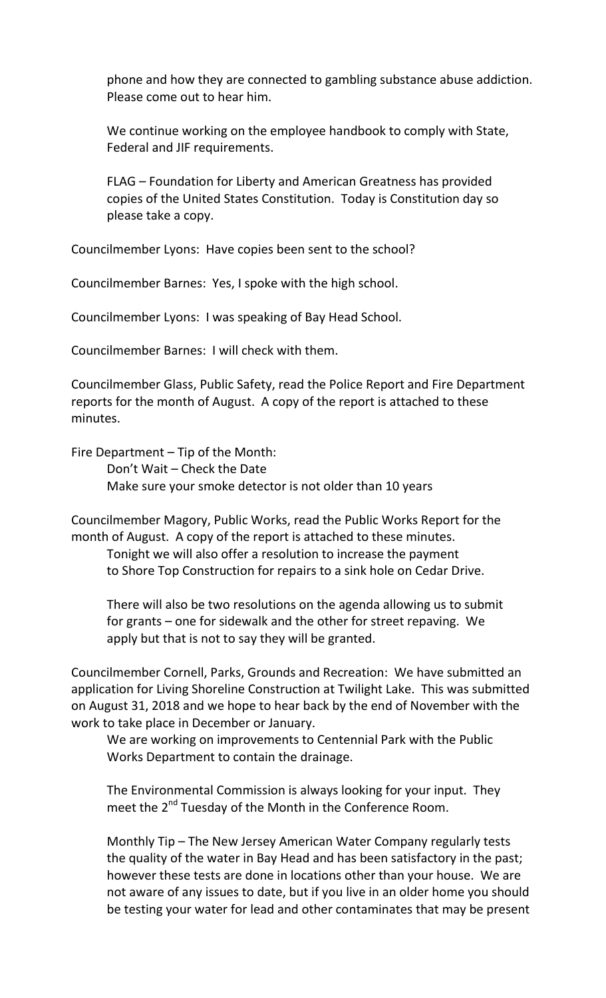phone and how they are connected to gambling substance abuse addiction. Please come out to hear him.

We continue working on the employee handbook to comply with State, Federal and JIF requirements.

FLAG – Foundation for Liberty and American Greatness has provided copies of the United States Constitution. Today is Constitution day so please take a copy.

Councilmember Lyons: Have copies been sent to the school?

Councilmember Barnes: Yes, I spoke with the high school.

Councilmember Lyons: I was speaking of Bay Head School.

Councilmember Barnes: I will check with them.

Councilmember Glass, Public Safety, read the Police Report and Fire Department reports for the month of August. A copy of the report is attached to these minutes.

Fire Department – Tip of the Month:

Don't Wait – Check the Date Make sure your smoke detector is not older than 10 years

Councilmember Magory, Public Works, read the Public Works Report for the month of August. A copy of the report is attached to these minutes.

Tonight we will also offer a resolution to increase the payment to Shore Top Construction for repairs to a sink hole on Cedar Drive.

There will also be two resolutions on the agenda allowing us to submit for grants – one for sidewalk and the other for street repaving. We apply but that is not to say they will be granted.

Councilmember Cornell, Parks, Grounds and Recreation: We have submitted an application for Living Shoreline Construction at Twilight Lake. This was submitted on August 31, 2018 and we hope to hear back by the end of November with the work to take place in December or January.

We are working on improvements to Centennial Park with the Public Works Department to contain the drainage.

The Environmental Commission is always looking for your input. They meet the 2<sup>nd</sup> Tuesday of the Month in the Conference Room.

Monthly Tip – The New Jersey American Water Company regularly tests the quality of the water in Bay Head and has been satisfactory in the past; however these tests are done in locations other than your house. We are not aware of any issues to date, but if you live in an older home you should be testing your water for lead and other contaminates that may be present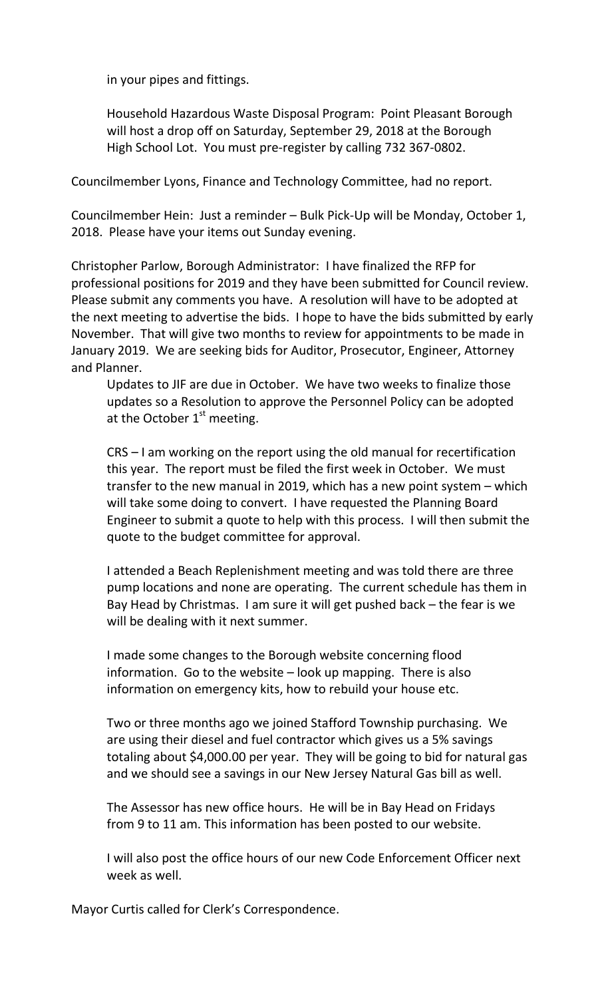in your pipes and fittings.

Household Hazardous Waste Disposal Program: Point Pleasant Borough will host a drop off on Saturday, September 29, 2018 at the Borough High School Lot. You must pre-register by calling 732 367-0802.

Councilmember Lyons, Finance and Technology Committee, had no report.

Councilmember Hein: Just a reminder – Bulk Pick-Up will be Monday, October 1, 2018. Please have your items out Sunday evening.

Christopher Parlow, Borough Administrator: I have finalized the RFP for professional positions for 2019 and they have been submitted for Council review. Please submit any comments you have. A resolution will have to be adopted at the next meeting to advertise the bids. I hope to have the bids submitted by early November. That will give two months to review for appointments to be made in January 2019. We are seeking bids for Auditor, Prosecutor, Engineer, Attorney and Planner.

Updates to JIF are due in October. We have two weeks to finalize those updates so a Resolution to approve the Personnel Policy can be adopted at the October  $1<sup>st</sup>$  meeting.

CRS – I am working on the report using the old manual for recertification this year. The report must be filed the first week in October. We must transfer to the new manual in 2019, which has a new point system – which will take some doing to convert. I have requested the Planning Board Engineer to submit a quote to help with this process. I will then submit the quote to the budget committee for approval.

I attended a Beach Replenishment meeting and was told there are three pump locations and none are operating. The current schedule has them in Bay Head by Christmas. I am sure it will get pushed back – the fear is we will be dealing with it next summer.

I made some changes to the Borough website concerning flood information. Go to the website – look up mapping. There is also information on emergency kits, how to rebuild your house etc.

Two or three months ago we joined Stafford Township purchasing. We are using their diesel and fuel contractor which gives us a 5% savings totaling about \$4,000.00 per year. They will be going to bid for natural gas and we should see a savings in our New Jersey Natural Gas bill as well.

The Assessor has new office hours. He will be in Bay Head on Fridays from 9 to 11 am. This information has been posted to our website.

I will also post the office hours of our new Code Enforcement Officer next week as well.

Mayor Curtis called for Clerk's Correspondence.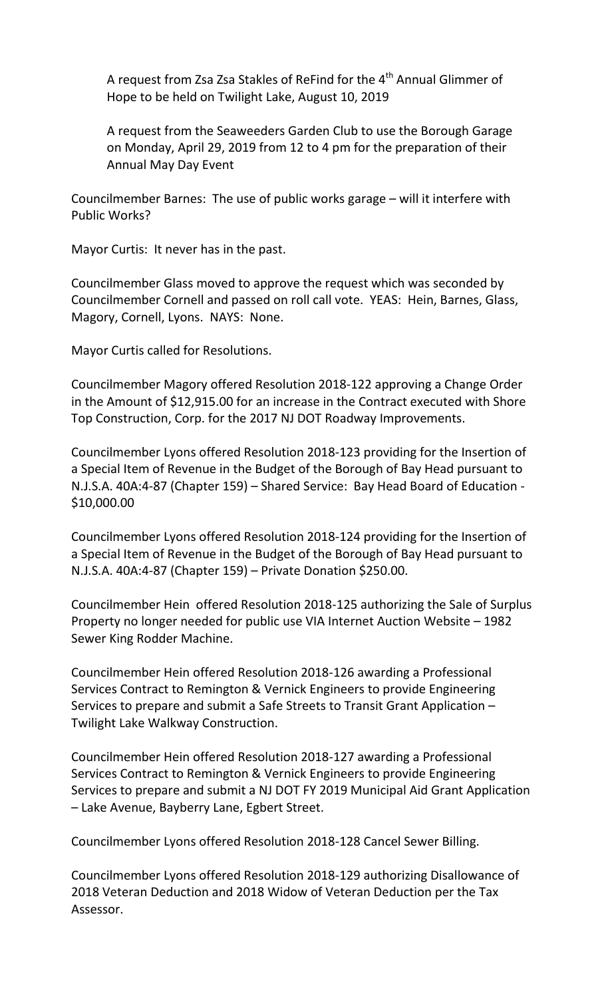A request from Zsa Zsa Stakles of ReFind for the  $4<sup>th</sup>$  Annual Glimmer of Hope to be held on Twilight Lake, August 10, 2019

A request from the Seaweeders Garden Club to use the Borough Garage on Monday, April 29, 2019 from 12 to 4 pm for the preparation of their Annual May Day Event

Councilmember Barnes: The use of public works garage – will it interfere with Public Works?

Mayor Curtis: It never has in the past.

Councilmember Glass moved to approve the request which was seconded by Councilmember Cornell and passed on roll call vote. YEAS: Hein, Barnes, Glass, Magory, Cornell, Lyons. NAYS: None.

Mayor Curtis called for Resolutions.

Councilmember Magory offered Resolution 2018-122 approving a Change Order in the Amount of \$12,915.00 for an increase in the Contract executed with Shore Top Construction, Corp. for the 2017 NJ DOT Roadway Improvements.

Councilmember Lyons offered Resolution 2018-123 providing for the Insertion of a Special Item of Revenue in the Budget of the Borough of Bay Head pursuant to N.J.S.A. 40A:4-87 (Chapter 159) – Shared Service: Bay Head Board of Education - \$10,000.00

Councilmember Lyons offered Resolution 2018-124 providing for the Insertion of a Special Item of Revenue in the Budget of the Borough of Bay Head pursuant to N.J.S.A. 40A:4-87 (Chapter 159) – Private Donation \$250.00.

Councilmember Hein offered Resolution 2018-125 authorizing the Sale of Surplus Property no longer needed for public use VIA Internet Auction Website – 1982 Sewer King Rodder Machine.

Councilmember Hein offered Resolution 2018-126 awarding a Professional Services Contract to Remington & Vernick Engineers to provide Engineering Services to prepare and submit a Safe Streets to Transit Grant Application – Twilight Lake Walkway Construction.

Councilmember Hein offered Resolution 2018-127 awarding a Professional Services Contract to Remington & Vernick Engineers to provide Engineering Services to prepare and submit a NJ DOT FY 2019 Municipal Aid Grant Application – Lake Avenue, Bayberry Lane, Egbert Street.

Councilmember Lyons offered Resolution 2018-128 Cancel Sewer Billing.

Councilmember Lyons offered Resolution 2018-129 authorizing Disallowance of 2018 Veteran Deduction and 2018 Widow of Veteran Deduction per the Tax Assessor.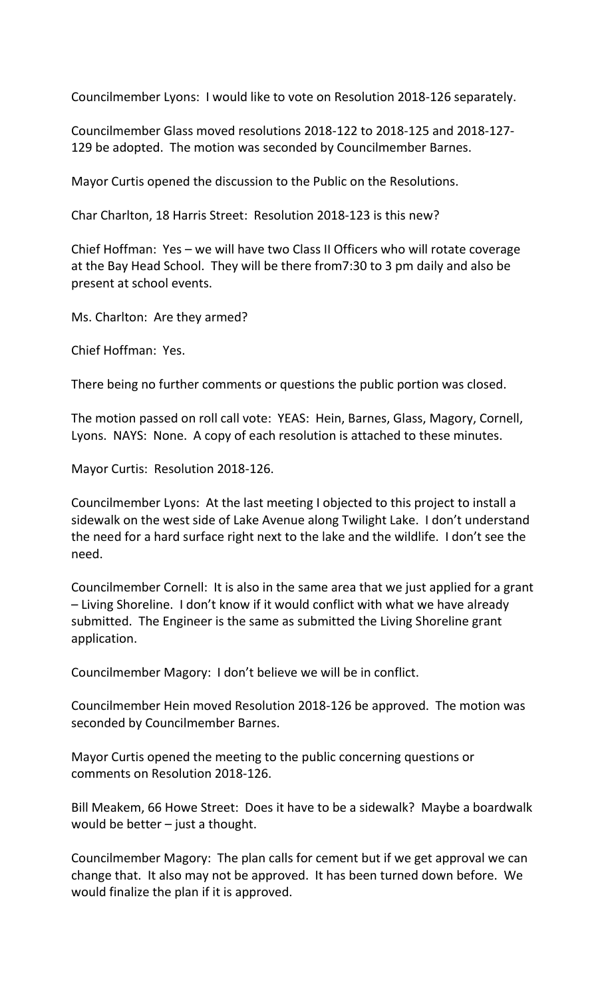Councilmember Lyons: I would like to vote on Resolution 2018-126 separately.

Councilmember Glass moved resolutions 2018-122 to 2018-125 and 2018-127- 129 be adopted. The motion was seconded by Councilmember Barnes.

Mayor Curtis opened the discussion to the Public on the Resolutions.

Char Charlton, 18 Harris Street: Resolution 2018-123 is this new?

Chief Hoffman: Yes – we will have two Class II Officers who will rotate coverage at the Bay Head School. They will be there from7:30 to 3 pm daily and also be present at school events.

Ms. Charlton: Are they armed?

Chief Hoffman: Yes.

There being no further comments or questions the public portion was closed.

The motion passed on roll call vote: YEAS: Hein, Barnes, Glass, Magory, Cornell, Lyons. NAYS: None. A copy of each resolution is attached to these minutes.

Mayor Curtis: Resolution 2018-126.

Councilmember Lyons: At the last meeting I objected to this project to install a sidewalk on the west side of Lake Avenue along Twilight Lake. I don't understand the need for a hard surface right next to the lake and the wildlife. I don't see the need.

Councilmember Cornell: It is also in the same area that we just applied for a grant – Living Shoreline. I don't know if it would conflict with what we have already submitted. The Engineer is the same as submitted the Living Shoreline grant application.

Councilmember Magory: I don't believe we will be in conflict.

Councilmember Hein moved Resolution 2018-126 be approved. The motion was seconded by Councilmember Barnes.

Mayor Curtis opened the meeting to the public concerning questions or comments on Resolution 2018-126.

Bill Meakem, 66 Howe Street: Does it have to be a sidewalk? Maybe a boardwalk would be better – just a thought.

Councilmember Magory: The plan calls for cement but if we get approval we can change that. It also may not be approved. It has been turned down before. We would finalize the plan if it is approved.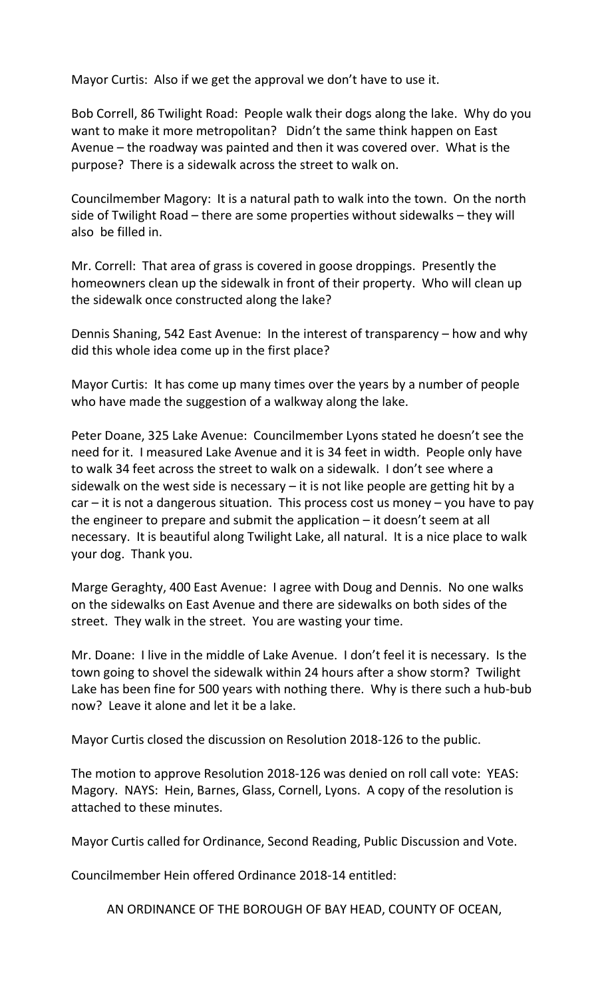Mayor Curtis: Also if we get the approval we don't have to use it.

Bob Correll, 86 Twilight Road: People walk their dogs along the lake. Why do you want to make it more metropolitan? Didn't the same think happen on East Avenue – the roadway was painted and then it was covered over. What is the purpose? There is a sidewalk across the street to walk on.

Councilmember Magory: It is a natural path to walk into the town. On the north side of Twilight Road – there are some properties without sidewalks – they will also be filled in.

Mr. Correll: That area of grass is covered in goose droppings. Presently the homeowners clean up the sidewalk in front of their property. Who will clean up the sidewalk once constructed along the lake?

Dennis Shaning, 542 East Avenue: In the interest of transparency – how and why did this whole idea come up in the first place?

Mayor Curtis: It has come up many times over the years by a number of people who have made the suggestion of a walkway along the lake.

Peter Doane, 325 Lake Avenue: Councilmember Lyons stated he doesn't see the need for it. I measured Lake Avenue and it is 34 feet in width. People only have to walk 34 feet across the street to walk on a sidewalk. I don't see where a sidewalk on the west side is necessary – it is not like people are getting hit by a  $car - it$  is not a dangerous situation. This process cost us money  $-$  you have to pay the engineer to prepare and submit the application – it doesn't seem at all necessary. It is beautiful along Twilight Lake, all natural. It is a nice place to walk your dog. Thank you.

Marge Geraghty, 400 East Avenue: I agree with Doug and Dennis. No one walks on the sidewalks on East Avenue and there are sidewalks on both sides of the street. They walk in the street. You are wasting your time.

Mr. Doane: I live in the middle of Lake Avenue. I don't feel it is necessary. Is the town going to shovel the sidewalk within 24 hours after a show storm? Twilight Lake has been fine for 500 years with nothing there. Why is there such a hub-bub now? Leave it alone and let it be a lake.

Mayor Curtis closed the discussion on Resolution 2018-126 to the public.

The motion to approve Resolution 2018-126 was denied on roll call vote: YEAS: Magory. NAYS: Hein, Barnes, Glass, Cornell, Lyons. A copy of the resolution is attached to these minutes.

Mayor Curtis called for Ordinance, Second Reading, Public Discussion and Vote.

Councilmember Hein offered Ordinance 2018-14 entitled:

AN ORDINANCE OF THE BOROUGH OF BAY HEAD, COUNTY OF OCEAN,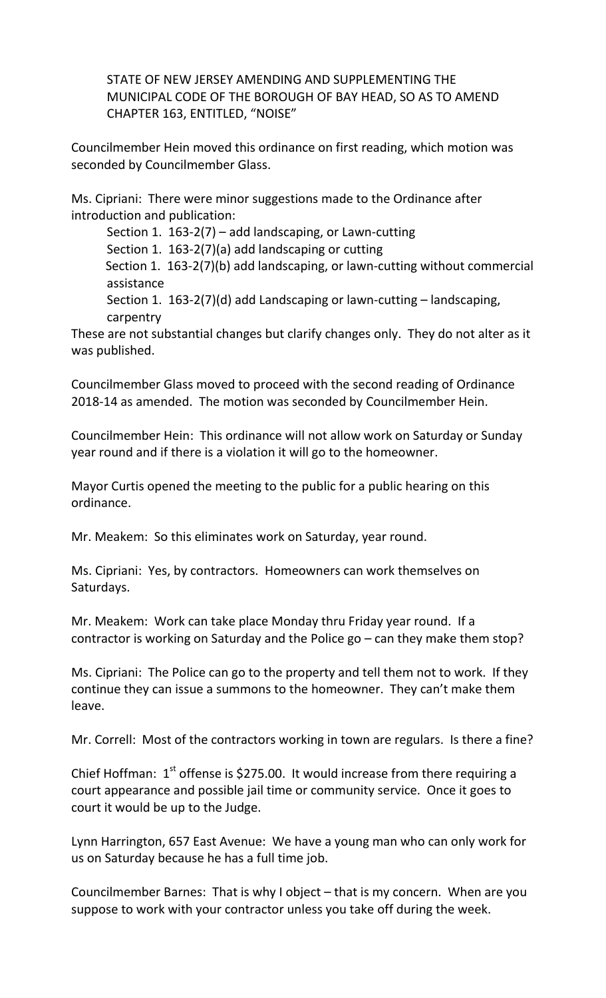STATE OF NEW JERSEY AMENDING AND SUPPLEMENTING THE MUNICIPAL CODE OF THE BOROUGH OF BAY HEAD, SO AS TO AMEND CHAPTER 163, ENTITLED, "NOISE"

Councilmember Hein moved this ordinance on first reading, which motion was seconded by Councilmember Glass.

Ms. Cipriani: There were minor suggestions made to the Ordinance after introduction and publication:

Section 1. 163-2(7) – add landscaping, or Lawn-cutting

Section 1. 163-2(7)(a) add landscaping or cutting

Section 1. 163-2(7)(b) add landscaping, or lawn-cutting without commercial assistance

Section 1. 163-2(7)(d) add Landscaping or lawn-cutting – landscaping, carpentry

These are not substantial changes but clarify changes only. They do not alter as it was published.

Councilmember Glass moved to proceed with the second reading of Ordinance 2018-14 as amended. The motion was seconded by Councilmember Hein.

Councilmember Hein: This ordinance will not allow work on Saturday or Sunday year round and if there is a violation it will go to the homeowner.

Mayor Curtis opened the meeting to the public for a public hearing on this ordinance.

Mr. Meakem: So this eliminates work on Saturday, year round.

Ms. Cipriani: Yes, by contractors. Homeowners can work themselves on Saturdays.

Mr. Meakem: Work can take place Monday thru Friday year round. If a contractor is working on Saturday and the Police go – can they make them stop?

Ms. Cipriani: The Police can go to the property and tell them not to work. If they continue they can issue a summons to the homeowner. They can't make them leave.

Mr. Correll: Most of the contractors working in town are regulars. Is there a fine?

Chief Hoffman:  $1<sup>st</sup>$  offense is \$275.00. It would increase from there requiring a court appearance and possible jail time or community service. Once it goes to court it would be up to the Judge.

Lynn Harrington, 657 East Avenue: We have a young man who can only work for us on Saturday because he has a full time job.

Councilmember Barnes: That is why I object – that is my concern. When are you suppose to work with your contractor unless you take off during the week.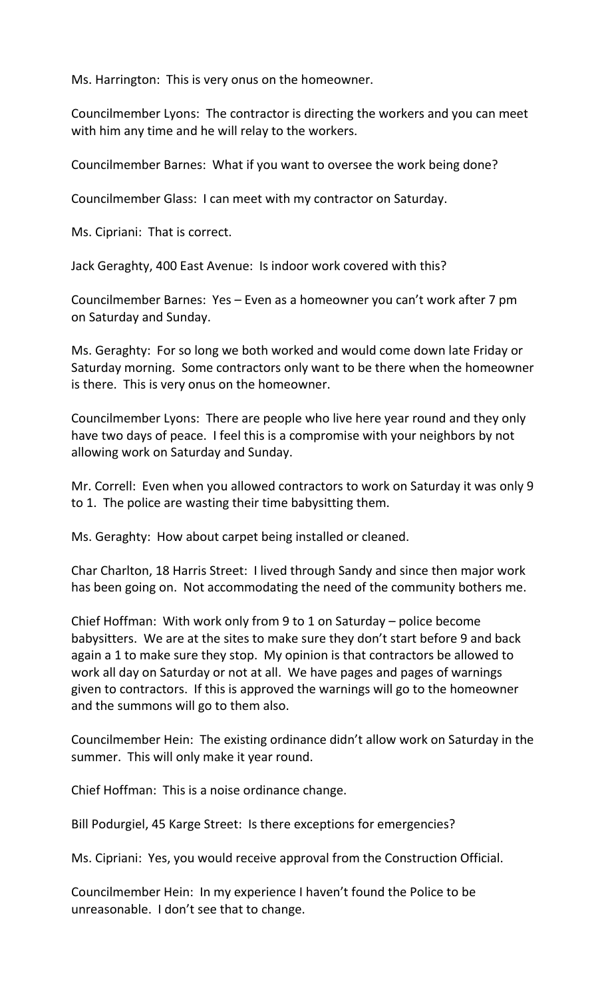Ms. Harrington: This is very onus on the homeowner.

Councilmember Lyons: The contractor is directing the workers and you can meet with him any time and he will relay to the workers.

Councilmember Barnes: What if you want to oversee the work being done?

Councilmember Glass: I can meet with my contractor on Saturday.

Ms. Cipriani: That is correct.

Jack Geraghty, 400 East Avenue: Is indoor work covered with this?

Councilmember Barnes: Yes – Even as a homeowner you can't work after 7 pm on Saturday and Sunday.

Ms. Geraghty: For so long we both worked and would come down late Friday or Saturday morning. Some contractors only want to be there when the homeowner is there. This is very onus on the homeowner.

Councilmember Lyons: There are people who live here year round and they only have two days of peace. I feel this is a compromise with your neighbors by not allowing work on Saturday and Sunday.

Mr. Correll: Even when you allowed contractors to work on Saturday it was only 9 to 1. The police are wasting their time babysitting them.

Ms. Geraghty: How about carpet being installed or cleaned.

Char Charlton, 18 Harris Street: I lived through Sandy and since then major work has been going on. Not accommodating the need of the community bothers me.

Chief Hoffman: With work only from 9 to 1 on Saturday – police become babysitters. We are at the sites to make sure they don't start before 9 and back again a 1 to make sure they stop. My opinion is that contractors be allowed to work all day on Saturday or not at all. We have pages and pages of warnings given to contractors. If this is approved the warnings will go to the homeowner and the summons will go to them also.

Councilmember Hein: The existing ordinance didn't allow work on Saturday in the summer. This will only make it year round.

Chief Hoffman: This is a noise ordinance change.

Bill Podurgiel, 45 Karge Street: Is there exceptions for emergencies?

Ms. Cipriani: Yes, you would receive approval from the Construction Official.

Councilmember Hein: In my experience I haven't found the Police to be unreasonable. I don't see that to change.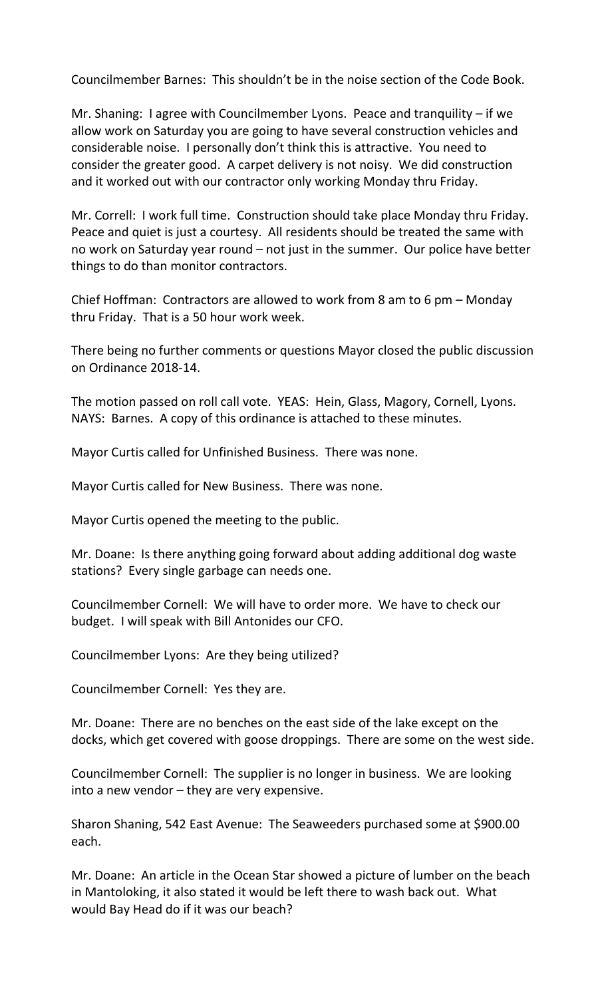Councilmember Barnes: This shouldn't be in the noise section of the Code Book.

Mr. Shaning: I agree with Councilmember Lyons. Peace and tranquility – if we allow work on Saturday you are going to have several construction vehicles and considerable noise. I personally don't think this is attractive. You need to consider the greater good. A carpet delivery is not noisy. We did construction and it worked out with our contractor only working Monday thru Friday.

Mr. Correll: I work full time. Construction should take place Monday thru Friday. Peace and quiet is just a courtesy. All residents should be treated the same with no work on Saturday year round – not just in the summer. Our police have better things to do than monitor contractors.

Chief Hoffman: Contractors are allowed to work from 8 am to 6 pm – Monday thru Friday. That is a 50 hour work week.

There being no further comments or questions Mayor closed the public discussion on Ordinance 2018-14.

The motion passed on roll call vote. YEAS: Hein, Glass, Magory, Cornell, Lyons. NAYS: Barnes. A copy of this ordinance is attached to these minutes.

Mayor Curtis called for Unfinished Business. There was none.

Mayor Curtis called for New Business. There was none.

Mayor Curtis opened the meeting to the public.

Mr. Doane: Is there anything going forward about adding additional dog waste stations? Every single garbage can needs one.

Councilmember Cornell: We will have to order more. We have to check our budget. I will speak with Bill Antonides our CFO.

Councilmember Lyons: Are they being utilized?

Councilmember Cornell: Yes they are.

Mr. Doane: There are no benches on the east side of the lake except on the docks, which get covered with goose droppings. There are some on the west side.

Councilmember Cornell: The supplier is no longer in business. We are looking into a new vendor – they are very expensive.

Sharon Shaning, 542 East Avenue: The Seaweeders purchased some at \$900.00 each.

Mr. Doane: An article in the Ocean Star showed a picture of lumber on the beach in Mantoloking, it also stated it would be left there to wash back out. What would Bay Head do if it was our beach?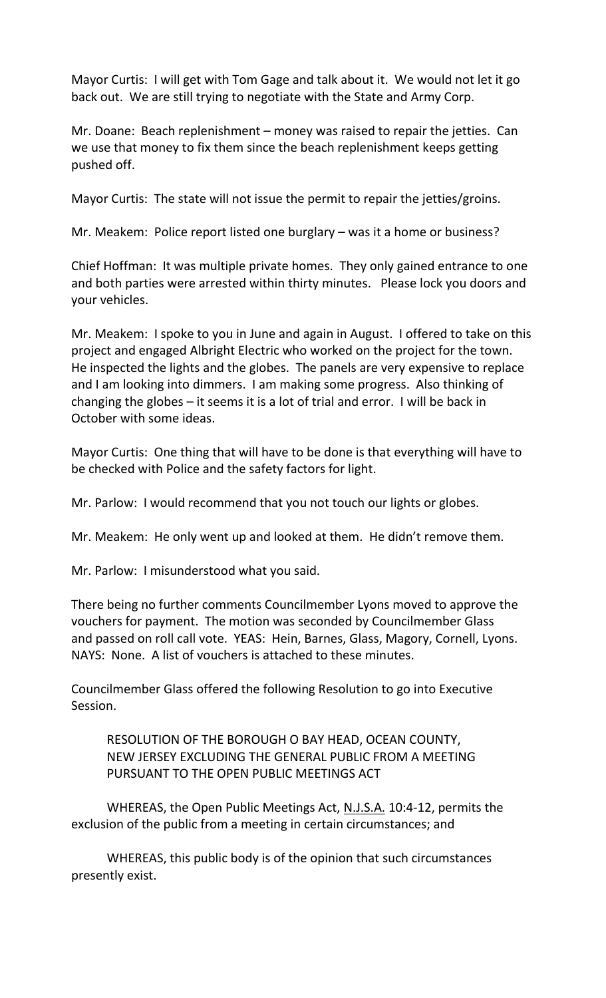Mayor Curtis: I will get with Tom Gage and talk about it. We would not let it go back out. We are still trying to negotiate with the State and Army Corp.

Mr. Doane: Beach replenishment – money was raised to repair the jetties. Can we use that money to fix them since the beach replenishment keeps getting pushed off.

Mayor Curtis: The state will not issue the permit to repair the jetties/groins.

Mr. Meakem: Police report listed one burglary – was it a home or business?

Chief Hoffman: It was multiple private homes. They only gained entrance to one and both parties were arrested within thirty minutes. Please lock you doors and your vehicles.

Mr. Meakem: I spoke to you in June and again in August. I offered to take on this project and engaged Albright Electric who worked on the project for the town. He inspected the lights and the globes. The panels are very expensive to replace and I am looking into dimmers. I am making some progress. Also thinking of changing the globes – it seems it is a lot of trial and error. I will be back in October with some ideas.

Mayor Curtis: One thing that will have to be done is that everything will have to be checked with Police and the safety factors for light.

Mr. Parlow: I would recommend that you not touch our lights or globes.

Mr. Meakem: He only went up and looked at them. He didn't remove them.

Mr. Parlow: I misunderstood what you said.

There being no further comments Councilmember Lyons moved to approve the vouchers for payment. The motion was seconded by Councilmember Glass and passed on roll call vote. YEAS: Hein, Barnes, Glass, Magory, Cornell, Lyons. NAYS: None. A list of vouchers is attached to these minutes.

Councilmember Glass offered the following Resolution to go into Executive Session.

RESOLUTION OF THE BOROUGH O BAY HEAD, OCEAN COUNTY, NEW JERSEY EXCLUDING THE GENERAL PUBLIC FROM A MEETING PURSUANT TO THE OPEN PUBLIC MEETINGS ACT

WHEREAS, the Open Public Meetings Act, N.J.S.A. 10:4-12, permits the exclusion of the public from a meeting in certain circumstances; and

WHEREAS, this public body is of the opinion that such circumstances presently exist.